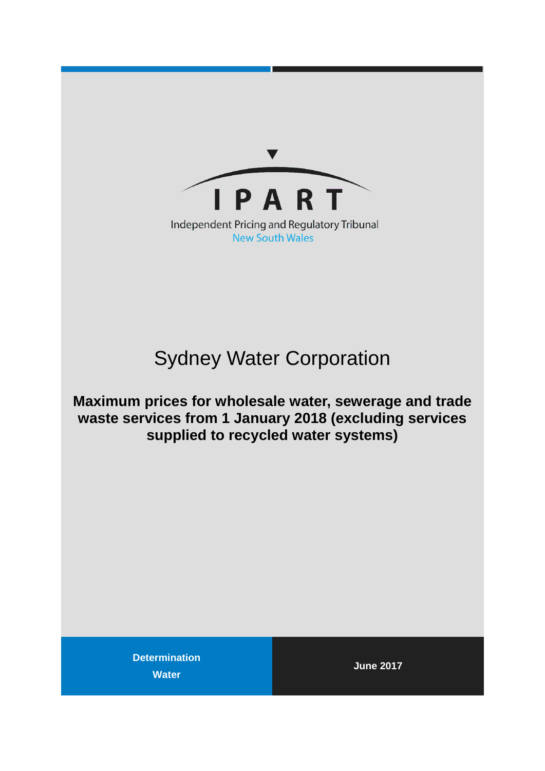

# Sydney Water Corporation

**Maximum prices for wholesale water, sewerage and trade waste services from 1 January 2018 (excluding services supplied to recycled water systems)**

> **Determination Water**

**June 2017**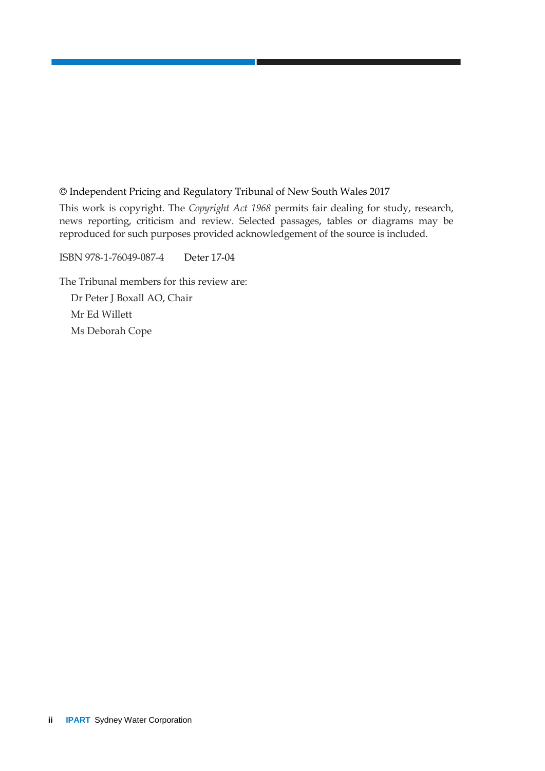## © Independent Pricing and Regulatory Tribunal of New South Wales 2017

This work is copyright. The *Copyright Act 1968* permits fair dealing for study, research, news reporting, criticism and review. Selected passages, tables or diagrams may be reproduced for such purposes provided acknowledgement of the source is included.

ISBN 978-1-76049-087-4 Deter 17-04

The Tribunal members for this review are:

Dr Peter J Boxall AO, Chair Mr Ed Willett Ms Deborah Cope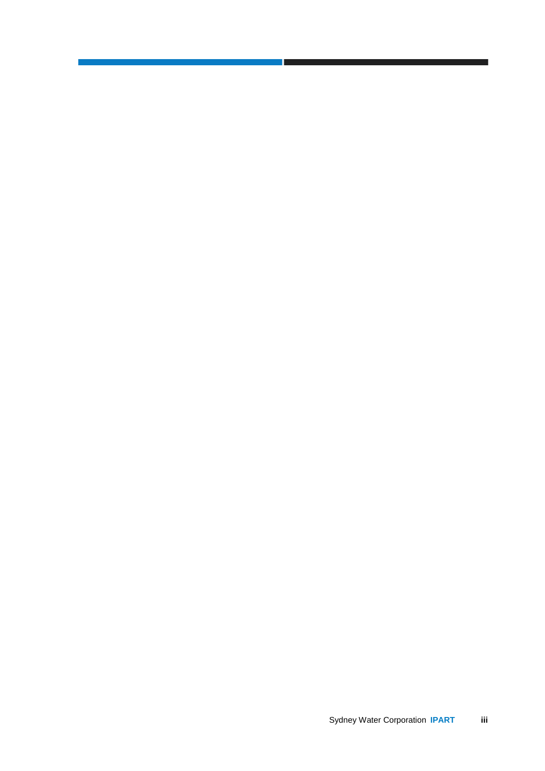H.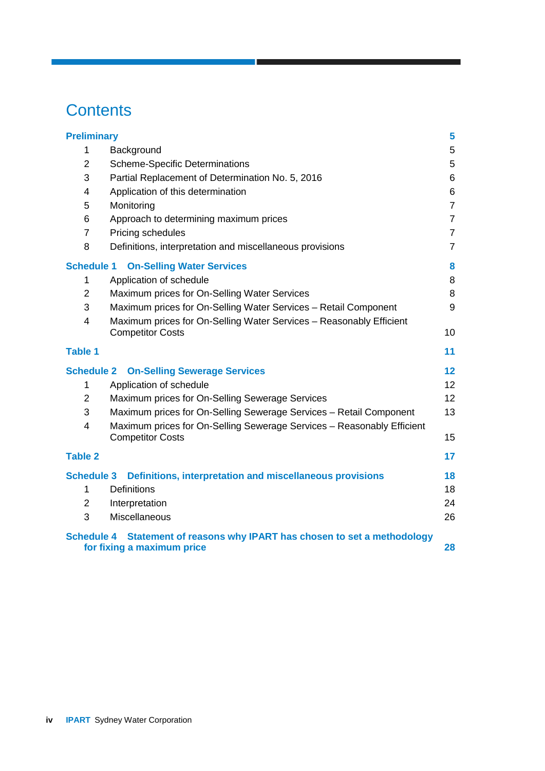# **Contents**

| <b>Preliminary</b> |                                                                                                   | 5                 |
|--------------------|---------------------------------------------------------------------------------------------------|-------------------|
| 1                  | Background                                                                                        | 5                 |
| $\overline{2}$     | <b>Scheme-Specific Determinations</b>                                                             | 5                 |
| 3                  | Partial Replacement of Determination No. 5, 2016                                                  | 6                 |
| 4                  | Application of this determination                                                                 | $\,6\,$           |
| 5                  | Monitoring                                                                                        | $\overline{7}$    |
| 6                  | Approach to determining maximum prices                                                            | $\overline{7}$    |
| $\overline{7}$     | Pricing schedules                                                                                 | $\overline{7}$    |
| 8                  | Definitions, interpretation and miscellaneous provisions                                          | $\overline{7}$    |
| <b>Schedule 1</b>  | <b>On-Selling Water Services</b>                                                                  | 8                 |
| 1                  | Application of schedule                                                                           | 8                 |
| $\overline{2}$     | Maximum prices for On-Selling Water Services                                                      | 8                 |
| 3                  | Maximum prices for On-Selling Water Services - Retail Component                                   | 9                 |
| $\overline{4}$     | Maximum prices for On-Selling Water Services - Reasonably Efficient<br><b>Competitor Costs</b>    | 10                |
| <b>Table 1</b>     |                                                                                                   | 11                |
| <b>Schedule 2</b>  | <b>On-Selling Sewerage Services</b>                                                               | 12                |
| 1                  | Application of schedule                                                                           | 12                |
| $\overline{2}$     | Maximum prices for On-Selling Sewerage Services                                                   | $12 \overline{ }$ |
| 3                  | Maximum prices for On-Selling Sewerage Services - Retail Component                                | 13                |
| 4                  | Maximum prices for On-Selling Sewerage Services - Reasonably Efficient<br><b>Competitor Costs</b> | 15                |
| <b>Table 2</b>     |                                                                                                   | 17                |
| <b>Schedule 3</b>  | Definitions, interpretation and miscellaneous provisions                                          | 18                |
| 1                  | <b>Definitions</b>                                                                                | 18                |
| $\overline{2}$     | Interpretation                                                                                    | 24                |
| 3                  | Miscellaneous                                                                                     | 26                |
| <b>Schedule 4</b>  | Statement of reasons why IPART has chosen to set a methodology<br>for fixing a maximum price      | 28                |

<u> Tanzania di Bandaria di Bandaria di Bandaria di Bandaria di Bandaria di Bandaria di Bandaria di Bandaria di Bandaria di Bandaria di Bandaria di Bandaria di Bandaria di Bandaria di Bandaria di Bandaria di Bandaria di Band</u>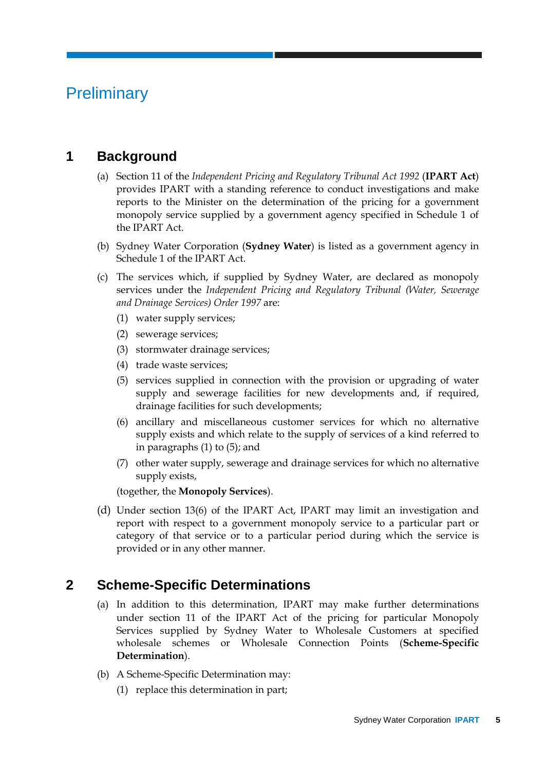# <span id="page-4-0"></span>**Preliminary**

# <span id="page-4-1"></span>**1 Background**

- (a) Section 11 of the *Independent Pricing and Regulatory Tribunal Act 1992* (**IPART Act**) provides IPART with a standing reference to conduct investigations and make reports to the Minister on the determination of the pricing for a government monopoly service supplied by a government agency specified in Schedule 1 of the IPART Act.
- <span id="page-4-5"></span>(b) Sydney Water Corporation (**Sydney Water**) is listed as a government agency in Schedule 1 of the IPART Act.
- <span id="page-4-3"></span>(c) The services which, if supplied by Sydney Water, are declared as monopoly services under the *Independent Pricing and Regulatory Tribunal (Water, Sewerage and Drainage Services) Order 1997* are:
	- (1) water supply services;
	- (2) sewerage services;
	- (3) stormwater drainage services;
	- (4) trade waste services;
	- (5) services supplied in connection with the provision or upgrading of water supply and sewerage facilities for new developments and, if required, drainage facilities for such developments;
	- (6) ancillary and miscellaneous customer services for which no alternative supply exists and which relate to the supply of services of a kind referred to in paragraphs (1) to (5); and
	- (7) other water supply, sewerage and drainage services for which no alternative supply exists,

(together, the **Monopoly Services**).

(d) Under section 13(6) of the IPART Act, IPART may limit an investigation and report with respect to a government monopoly service to a particular part or category of that service or to a particular period during which the service is provided or in any other manner.

## <span id="page-4-4"></span><span id="page-4-2"></span>**2 Scheme-Specific Determinations**

- (a) In addition to this determination, IPART may make further determinations under section 11 of the IPART Act of the pricing for particular Monopoly Services supplied by Sydney Water to Wholesale Customers at specified wholesale schemes or Wholesale Connection Points (**Scheme-Specific Determination**).
- (b) A Scheme-Specific Determination may:
	- (1) replace this determination in part;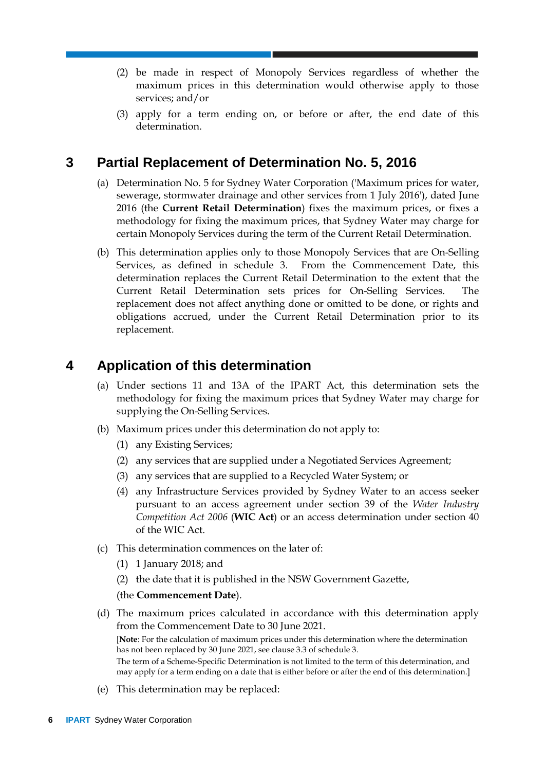- (2) be made in respect of Monopoly Services regardless of whether the maximum prices in this determination would otherwise apply to those services; and/or
- (3) apply for a term ending on, or before or after, the end date of this determination.

# <span id="page-5-3"></span><span id="page-5-0"></span>**3 Partial Replacement of Determination No. 5, 2016**

- (a) Determination No. 5 for Sydney Water Corporation ('Maximum prices for water, sewerage, stormwater drainage and other services from 1 July 2016'), dated June 2016 (the **Current Retail Determination**) fixes the maximum prices, or fixes a methodology for fixing the maximum prices, that Sydney Water may charge for certain Monopoly Services during the term of the Current Retail Determination.
- (b) This determination applies only to those Monopoly Services that are On-Selling Services, as defined in schedule 3. From the Commencement Date, this determination replaces the Current Retail Determination to the extent that the Current Retail Determination sets prices for On-Selling Services. The replacement does not affect anything done or omitted to be done, or rights and obligations accrued, under the Current Retail Determination prior to its replacement.

# <span id="page-5-1"></span>**4 Application of this determination**

- (a) Under sections 11 and 13A of the IPART Act, this determination sets the methodology for fixing the maximum prices that Sydney Water may charge for supplying the On-Selling Services.
- (b) Maximum prices under this determination do not apply to:
	- (1) any Existing Services;
	- (2) any services that are supplied under a Negotiated Services Agreement;
	- (3) any services that are supplied to a Recycled Water System; or
	- (4) any Infrastructure Services provided by Sydney Water to an access seeker pursuant to an access agreement under section 39 of the *Water Industry Competition Act 2006* (**WIC Act**) or an access determination under section 40 of the WIC Act.
- <span id="page-5-2"></span>(c) This determination commences on the later of:
	- (1) 1 January 2018; and
	- (2) the date that it is published in the NSW Government Gazette,

#### (the **Commencement Date**).

- (d) The maximum prices calculated in accordance with this determination apply from the Commencement Date to 30 June 2021. [**Note**: For the calculation of maximum prices under this determination where the determination has not been replaced by 30 June 2021, see clause 3.3 of schedule 3. The term of a Scheme-Specific Determination is not limited to the term of this determination, and may apply for a term ending on a date that is either before or after the end of this determination.]
- (e) This determination may be replaced: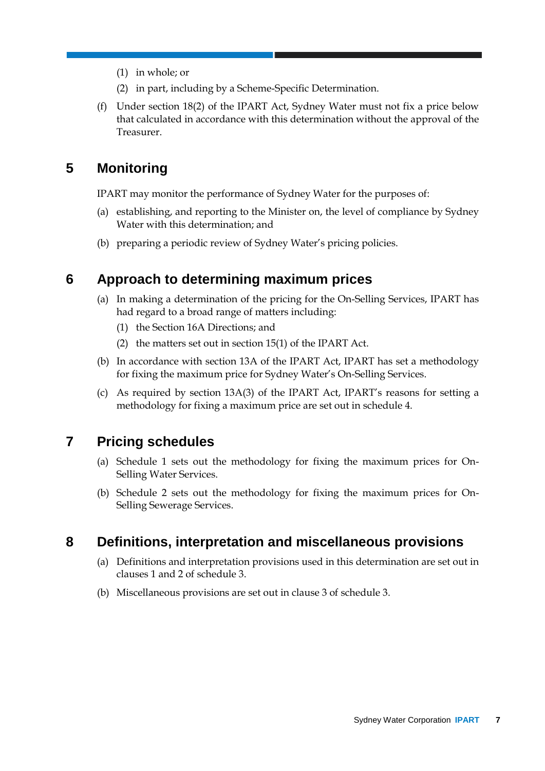- (1) in whole; or
- (2) in part, including by a Scheme-Specific Determination.
- (f) Under section 18(2) of the IPART Act, Sydney Water must not fix a price below that calculated in accordance with this determination without the approval of the Treasurer.

# <span id="page-6-0"></span>**5 Monitoring**

IPART may monitor the performance of Sydney Water for the purposes of:

- (a) establishing, and reporting to the Minister on, the level of compliance by Sydney Water with this determination; and
- (b) preparing a periodic review of Sydney Water's pricing policies.

## <span id="page-6-1"></span>**6 Approach to determining maximum prices**

- (a) In making a determination of the pricing for the On-Selling Services, IPART has had regard to a broad range of matters including:
	- (1) the Section 16A Directions; and
	- (2) the matters set out in section 15(1) of the IPART Act.
- (b) In accordance with section 13A of the IPART Act, IPART has set a methodology for fixing the maximum price for Sydney Water's On-Selling Services.
- (c) As required by section 13A(3) of the IPART Act, IPART's reasons for setting a methodology for fixing a maximum price are set out in schedule 4.

## <span id="page-6-2"></span>**7 Pricing schedules**

- (a) Schedule 1 sets out the methodology for fixing the maximum prices for On-Selling Water Services.
- (b) Schedule 2 sets out the methodology for fixing the maximum prices for On-Selling Sewerage Services.

## <span id="page-6-3"></span>**8 Definitions, interpretation and miscellaneous provisions**

- (a) Definitions and interpretation provisions used in this determination are set out in clauses 1 and 2 of schedule 3.
- (b) Miscellaneous provisions are set out in clause 3 of schedule 3.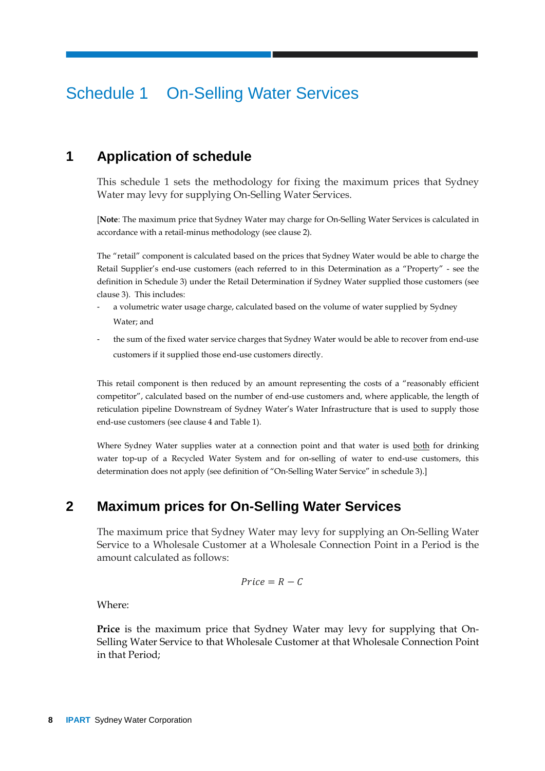# <span id="page-7-0"></span>Schedule 1 On-Selling Water Services

# <span id="page-7-1"></span>**1 Application of schedule**

This schedule 1 sets the methodology for fixing the maximum prices that Sydney Water may levy for supplying On-Selling Water Services.

[**Note**: The maximum price that Sydney Water may charge for On-Selling Water Services is calculated in accordance with a retail-minus methodology (see clause 2).

The "retail" component is calculated based on the prices that Sydney Water would be able to charge the Retail Supplier's end-use customers (each referred to in this Determination as a "Property" - see the definition in Schedule 3) under the Retail Determination if Sydney Water supplied those customers (see clause 3). This includes:

- a volumetric water usage charge, calculated based on the volume of water supplied by Sydney Water; and
- the sum of the fixed water service charges that Sydney Water would be able to recover from end-use customers if it supplied those end-use customers directly.

This retail component is then reduced by an amount representing the costs of a "reasonably efficient competitor", calculated based on the number of end-use customers and, where applicable, the length of reticulation pipeline Downstream of Sydney Water's Water Infrastructure that is used to supply those end-use customers (see clause 4 and Table 1).

Where Sydney Water supplies water at a connection point and that water is used both for drinking water top-up of a Recycled Water System and for on-selling of water to end-use customers, this determination does not apply (see definition of "On-Selling Water Service" in schedule 3).]

## <span id="page-7-2"></span>**2 Maximum prices for On-Selling Water Services**

The maximum price that Sydney Water may levy for supplying an On-Selling Water Service to a Wholesale Customer at a Wholesale Connection Point in a Period is the amount calculated as follows:

$$
Price = R - C
$$

Where:

**Price** is the maximum price that Sydney Water may levy for supplying that On-Selling Water Service to that Wholesale Customer at that Wholesale Connection Point in that Period;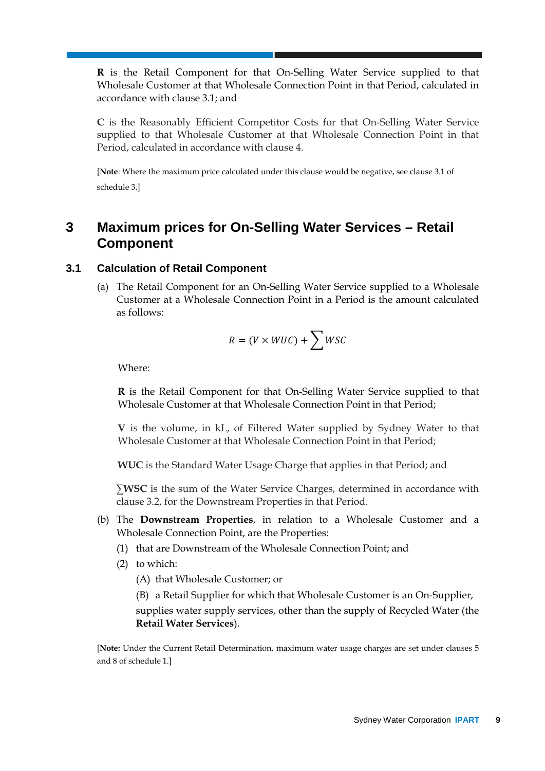**R** is the Retail Component for that On-Selling Water Service supplied to that Wholesale Customer at that Wholesale Connection Point in that Period, calculated in accordance with clause [3.1;](#page-8-1) and

**C** is the Reasonably Efficient Competitor Costs for that On-Selling Water Service supplied to that Wholesale Customer at that Wholesale Connection Point in that Period, calculated in accordance with clause [4.](#page-9-0)

[**Note**: Where the maximum price calculated under this clause would be negative, see clause 3.1 of schedule 3.]

# <span id="page-8-0"></span>**3 Maximum prices for On-Selling Water Services – Retail Component**

#### <span id="page-8-1"></span>**3.1 Calculation of Retail Component**

(a) The Retail Component for an On-Selling Water Service supplied to a Wholesale Customer at a Wholesale Connection Point in a Period is the amount calculated as follows:

$$
R = (V \times WUC) + \sum WSC
$$

Where:

**R** is the Retail Component for that On-Selling Water Service supplied to that Wholesale Customer at that Wholesale Connection Point in that Period;

**V** is the volume, in kL, of Filtered Water supplied by Sydney Water to that Wholesale Customer at that Wholesale Connection Point in that Period;

**WUC** is the Standard Water Usage Charge that applies in that Period; and

**∑WSC** is the sum of the Water Service Charges, determined in accordance with clause [3.2,](#page-9-1) for the Downstream Properties in that Period.

- (b) The **Downstream Properties**, in relation to a Wholesale Customer and a Wholesale Connection Point, are the Properties:
	- (1) that are Downstream of the Wholesale Connection Point; and
	- (2) to which:
		- (A) that Wholesale Customer; or
		- (B) a Retail Supplier for which that Wholesale Customer is an On-Supplier,

supplies water supply services, other than the supply of Recycled Water (the **Retail Water Services**).

[**Note:** Under the Current Retail Determination, maximum water usage charges are set under clauses 5 and 8 of schedule 1.]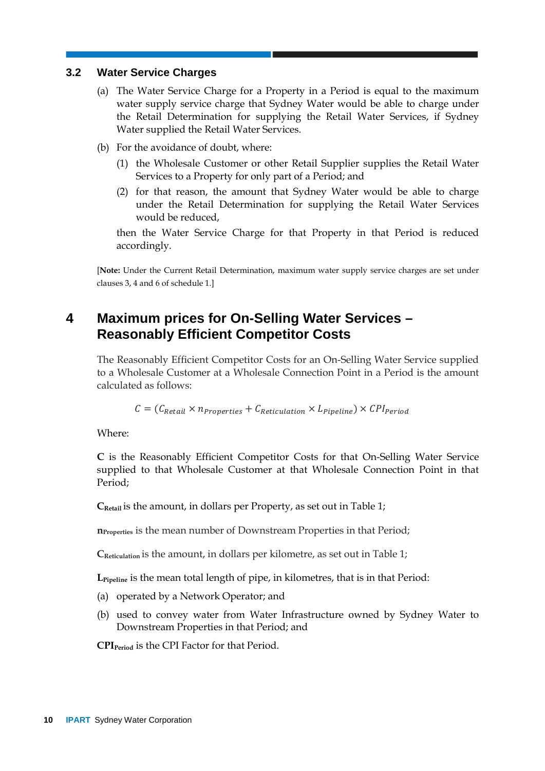#### <span id="page-9-1"></span>**3.2 Water Service Charges**

- (a) The Water Service Charge for a Property in a Period is equal to the maximum water supply service charge that Sydney Water would be able to charge under the Retail Determination for supplying the Retail Water Services, if Sydney Water supplied the Retail Water Services.
- (b) For the avoidance of doubt, where:
	- (1) the Wholesale Customer or other Retail Supplier supplies the Retail Water Services to a Property for only part of a Period; and
	- (2) for that reason, the amount that Sydney Water would be able to charge under the Retail Determination for supplying the Retail Water Services would be reduced,

then the Water Service Charge for that Property in that Period is reduced accordingly.

[**Note:** Under the Current Retail Determination, maximum water supply service charges are set under clauses 3, 4 and 6 of schedule 1.]

# <span id="page-9-0"></span>**4 Maximum prices for On-Selling Water Services – Reasonably Efficient Competitor Costs**

The Reasonably Efficient Competitor Costs for an On-Selling Water Service supplied to a Wholesale Customer at a Wholesale Connection Point in a Period is the amount calculated as follows:

 $C = (C_{Retail} \times n_{Properties} + C_{Reticulation} \times L_{Pipeline}) \times CPI_{Period}$ 

Where:

**C** is the Reasonably Efficient Competitor Costs for that On-Selling Water Service supplied to that Wholesale Customer at that Wholesale Connection Point in that Period;

**CRetail** is the amount, in dollars per Property, as set out in Table 1;

**n**<sub>Properties</sub> is the mean number of Downstream Properties in that Period;

**CReticulation** is the amount, in dollars per kilometre, as set out in Table 1;

L<sub>Pipeline</sub> is the mean total length of pipe, in kilometres, that is in that Period:

- (a) operated by a Network Operator; and
- (b) used to convey water from Water Infrastructure owned by Sydney Water to Downstream Properties in that Period; and

CPI<sub>Period</sub> is the CPI Factor for that Period.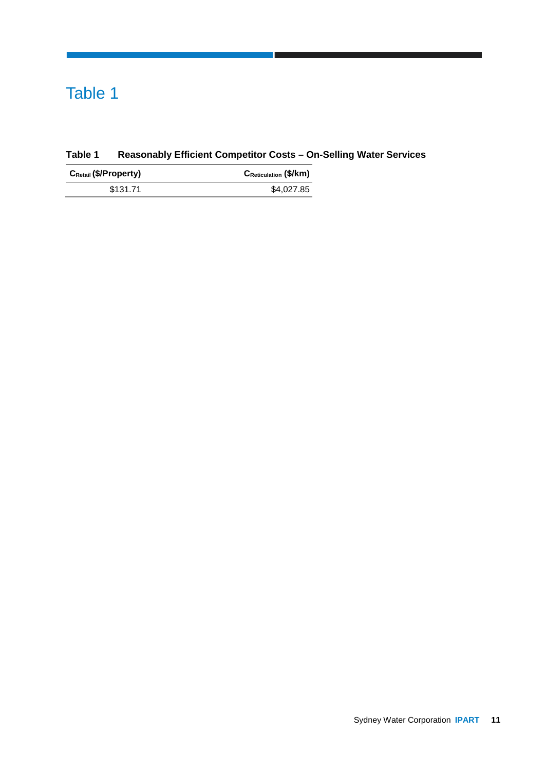# <span id="page-10-0"></span>Table 1

**Table 1 Reasonably Efficient Competitor Costs – On-Selling Water Services**

T

| C <sub>Retail</sub> (\$/Property) | CReticulation (\$/km) |
|-----------------------------------|-----------------------|
| \$131.71                          | \$4,027.85            |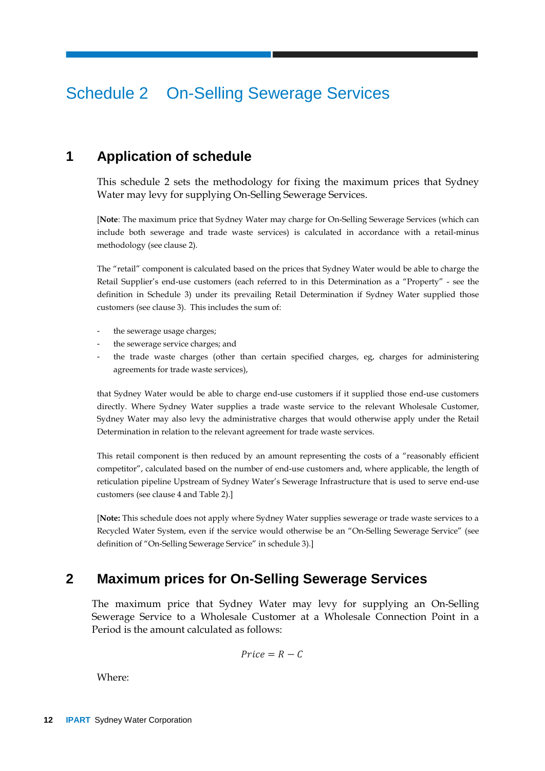# <span id="page-11-0"></span>Schedule 2 On-Selling Sewerage Services

# <span id="page-11-1"></span>**1 Application of schedule**

This schedule 2 sets the methodology for fixing the maximum prices that Sydney Water may levy for supplying On-Selling Sewerage Services.

[**Note**: The maximum price that Sydney Water may charge for On-Selling Sewerage Services (which can include both sewerage and trade waste services) is calculated in accordance with a retail-minus methodology (see clause 2).

The "retail" component is calculated based on the prices that Sydney Water would be able to charge the Retail Supplier's end-use customers (each referred to in this Determination as a "Property" - see the definition in Schedule 3) under its prevailing Retail Determination if Sydney Water supplied those customers (see clause 3). This includes the sum of:

- the sewerage usage charges;
- the sewerage service charges; and
- the trade waste charges (other than certain specified charges, eg, charges for administering agreements for trade waste services),

that Sydney Water would be able to charge end-use customers if it supplied those end-use customers directly. Where Sydney Water supplies a trade waste service to the relevant Wholesale Customer, Sydney Water may also levy the administrative charges that would otherwise apply under the Retail Determination in relation to the relevant agreement for trade waste services.

This retail component is then reduced by an amount representing the costs of a "reasonably efficient competitor", calculated based on the number of end-use customers and, where applicable, the length of reticulation pipeline Upstream of Sydney Water's Sewerage Infrastructure that is used to serve end-use customers (see clause 4 and Table 2).]

[**Note:** This schedule does not apply where Sydney Water supplies sewerage or trade waste services to a Recycled Water System, even if the service would otherwise be an "On-Selling Sewerage Service" (see definition of "On-Selling Sewerage Service" in schedule 3).]

## <span id="page-11-2"></span>**2 Maximum prices for On-Selling Sewerage Services**

The maximum price that Sydney Water may levy for supplying an On-Selling Sewerage Service to a Wholesale Customer at a Wholesale Connection Point in a Period is the amount calculated as follows:

$$
Price = R - C
$$

Where: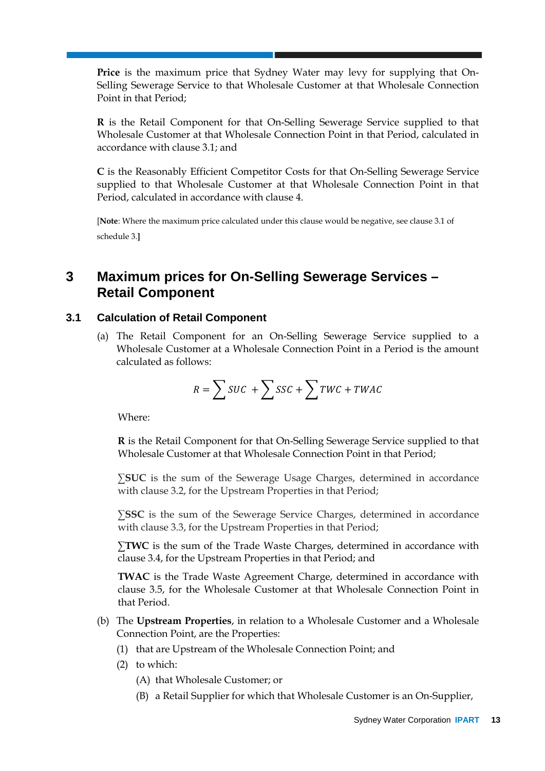**Price** is the maximum price that Sydney Water may levy for supplying that On-Selling Sewerage Service to that Wholesale Customer at that Wholesale Connection Point in that Period;

**R** is the Retail Component for that On-Selling Sewerage Service supplied to that Wholesale Customer at that Wholesale Connection Point in that Period, calculated in accordance with clause [3.1;](#page-12-1) and

**C** is the Reasonably Efficient Competitor Costs for that On-Selling Sewerage Service supplied to that Wholesale Customer at that Wholesale Connection Point in that Period, calculated in accordance with clause [4.](#page-14-0)

[**Note**: Where the maximum price calculated under this clause would be negative, see clause 3.1 of schedule 3.**]**

# <span id="page-12-0"></span>**3 Maximum prices for On-Selling Sewerage Services – Retail Component**

#### <span id="page-12-1"></span>**3.1 Calculation of Retail Component**

(a) The Retail Component for an On-Selling Sewerage Service supplied to a Wholesale Customer at a Wholesale Connection Point in a Period is the amount calculated as follows:

$$
R = \sum SUC + \sum SSC + \sum TWC + TWAC
$$

Where:

**R** is the Retail Component for that On-Selling Sewerage Service supplied to that Wholesale Customer at that Wholesale Connection Point in that Period;

**∑SUC** is the sum of the Sewerage Usage Charges, determined in accordance with clause [3.2,](#page-13-0) for the Upstream Properties in that Period;

∑SSC is the sum of the Sewerage Service Charges, determined in accordance with clause [3.3,](#page-13-1) for the Upstream Properties in that Period;

∑TWC is the sum of the Trade Waste Charges, determined in accordance with clause [3.4,](#page-13-2) for the Upstream Properties in that Period; and

**TWAC** is the Trade Waste Agreement Charge, determined in accordance with clause 3.5, for the Wholesale Customer at that Wholesale Connection Point in that Period.

- (b) The **Upstream Properties**, in relation to a Wholesale Customer and a Wholesale Connection Point, are the Properties:
	- (1) that are Upstream of the Wholesale Connection Point; and
	- (2) to which:
		- (A) that Wholesale Customer; or
		- (B) a Retail Supplier for which that Wholesale Customer is an On-Supplier,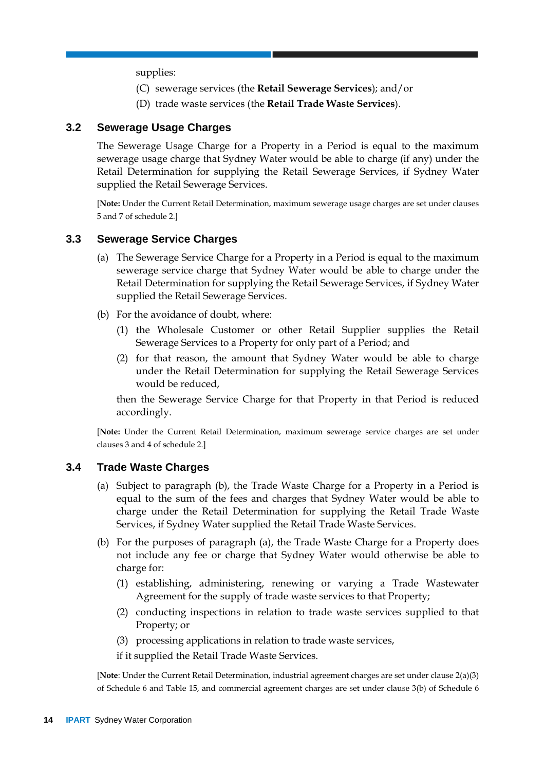supplies:

- (C) sewerage services (the **Retail Sewerage Services**); and/or
- (D) trade waste services (the **Retail Trade Waste Services**).

### <span id="page-13-0"></span>**3.2 Sewerage Usage Charges**

The Sewerage Usage Charge for a Property in a Period is equal to the maximum sewerage usage charge that Sydney Water would be able to charge (if any) under the Retail Determination for supplying the Retail Sewerage Services, if Sydney Water supplied the Retail Sewerage Services.

[**Note:** Under the Current Retail Determination, maximum sewerage usage charges are set under clauses 5 and 7 of schedule 2.]

#### <span id="page-13-1"></span>**3.3 Sewerage Service Charges**

- (a) The Sewerage Service Charge for a Property in a Period is equal to the maximum sewerage service charge that Sydney Water would be able to charge under the Retail Determination for supplying the Retail Sewerage Services, if Sydney Water supplied the Retail Sewerage Services.
- (b) For the avoidance of doubt, where:
	- (1) the Wholesale Customer or other Retail Supplier supplies the Retail Sewerage Services to a Property for only part of a Period; and
	- (2) for that reason, the amount that Sydney Water would be able to charge under the Retail Determination for supplying the Retail Sewerage Services would be reduced,

then the Sewerage Service Charge for that Property in that Period is reduced accordingly.

[**Note:** Under the Current Retail Determination, maximum sewerage service charges are set under clauses 3 and 4 of schedule 2.]

#### <span id="page-13-4"></span><span id="page-13-2"></span>**3.4 Trade Waste Charges**

- (a) Subject to paragraph [\(b\),](#page-13-3) the Trade Waste Charge for a Property in a Period is equal to the sum of the fees and charges that Sydney Water would be able to charge under the Retail Determination for supplying the Retail Trade Waste Services, if Sydney Water supplied the Retail Trade Waste Services.
- <span id="page-13-3"></span>(b) For the purposes of paragraph [\(a\),](#page-13-4) the Trade Waste Charge for a Property does not include any fee or charge that Sydney Water would otherwise be able to charge for:
	- (1) establishing, administering, renewing or varying a Trade Wastewater Agreement for the supply of trade waste services to that Property;
	- (2) conducting inspections in relation to trade waste services supplied to that Property; or
	- (3) processing applications in relation to trade waste services,
	- if it supplied the Retail Trade Waste Services.

[**Note**: Under the Current Retail Determination, industrial agreement charges are set under clause 2(a)(3) of Schedule 6 and Table 15, and commercial agreement charges are set under clause 3(b) of Schedule 6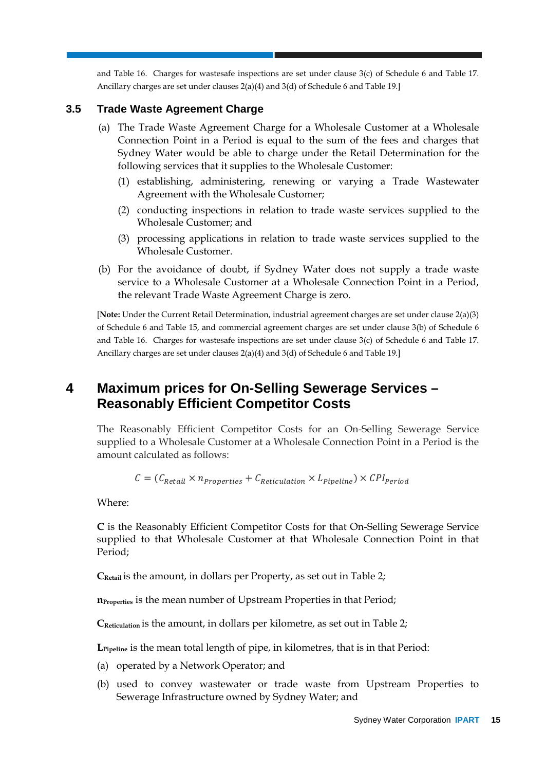and Table 16. Charges for wastesafe inspections are set under clause 3(c) of Schedule 6 and Table 17. Ancillary charges are set under clauses 2(a)(4) and 3(d) of Schedule 6 and Table 19.]

### **3.5 Trade Waste Agreement Charge**

- (a) The Trade Waste Agreement Charge for a Wholesale Customer at a Wholesale Connection Point in a Period is equal to the sum of the fees and charges that Sydney Water would be able to charge under the Retail Determination for the following services that it supplies to the Wholesale Customer:
	- (1) establishing, administering, renewing or varying a Trade Wastewater Agreement with the Wholesale Customer;
	- (2) conducting inspections in relation to trade waste services supplied to the Wholesale Customer; and
	- (3) processing applications in relation to trade waste services supplied to the Wholesale Customer.
- (b) For the avoidance of doubt, if Sydney Water does not supply a trade waste service to a Wholesale Customer at a Wholesale Connection Point in a Period, the relevant Trade Waste Agreement Charge is zero.

[**Note:** Under the Current Retail Determination, industrial agreement charges are set under clause 2(a)(3) of Schedule 6 and Table 15, and commercial agreement charges are set under clause 3(b) of Schedule 6 and Table 16. Charges for wastesafe inspections are set under clause 3(c) of Schedule 6 and Table 17. Ancillary charges are set under clauses 2(a)(4) and 3(d) of Schedule 6 and Table 19.]

# <span id="page-14-0"></span>**4 Maximum prices for On-Selling Sewerage Services – Reasonably Efficient Competitor Costs**

The Reasonably Efficient Competitor Costs for an On-Selling Sewerage Service supplied to a Wholesale Customer at a Wholesale Connection Point in a Period is the amount calculated as follows:

 $C = (C_{Retail} \times n_{Properties} + C_{Reticulation} \times L_{Pipeline}) \times CPI_{Period}$ 

Where:

**C** is the Reasonably Efficient Competitor Costs for that On-Selling Sewerage Service supplied to that Wholesale Customer at that Wholesale Connection Point in that Period;

**CRetail** is the amount, in dollars per Property, as set out in Table 2;

**nProperties** is the mean number of Upstream Properties in that Period;

**CReticulation** is the amount, in dollars per kilometre, as set out in Table 2;

L<sub>Pipeline</sub> is the mean total length of pipe, in kilometres, that is in that Period:

- (a) operated by a Network Operator; and
- (b) used to convey wastewater or trade waste from Upstream Properties to Sewerage Infrastructure owned by Sydney Water; and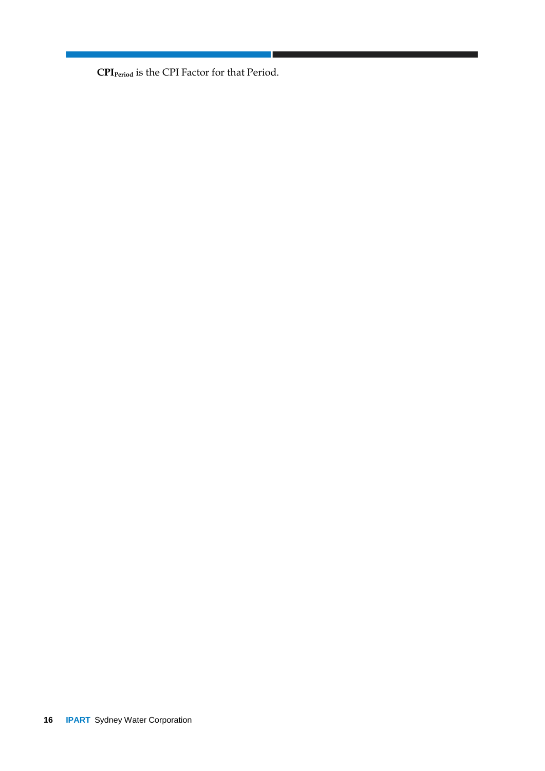**CPI**<sub>Period</sub> is the CPI Factor for that Period.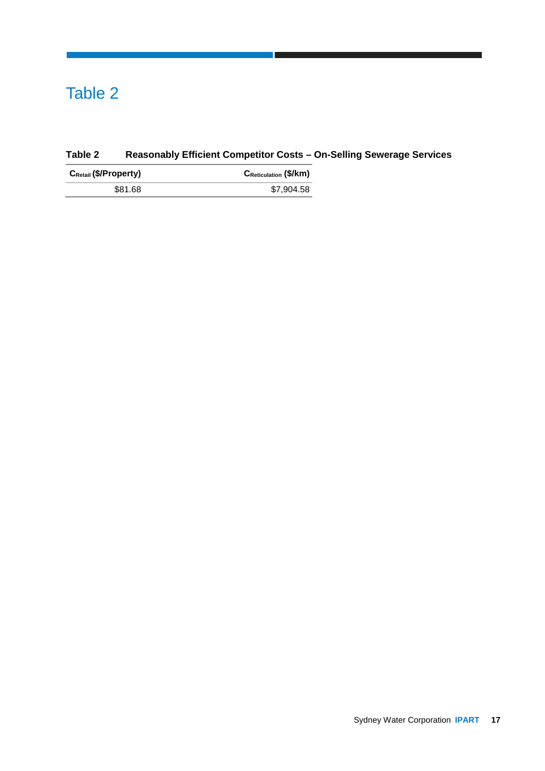# <span id="page-16-0"></span>Table 2

**Table 2 Reasonably Efficient Competitor Costs – On-Selling Sewerage Services**

T

| C <sub>Retail</sub> (\$/Property) | CReticulation (\$/km) |
|-----------------------------------|-----------------------|
| \$81.68                           | \$7,904.58            |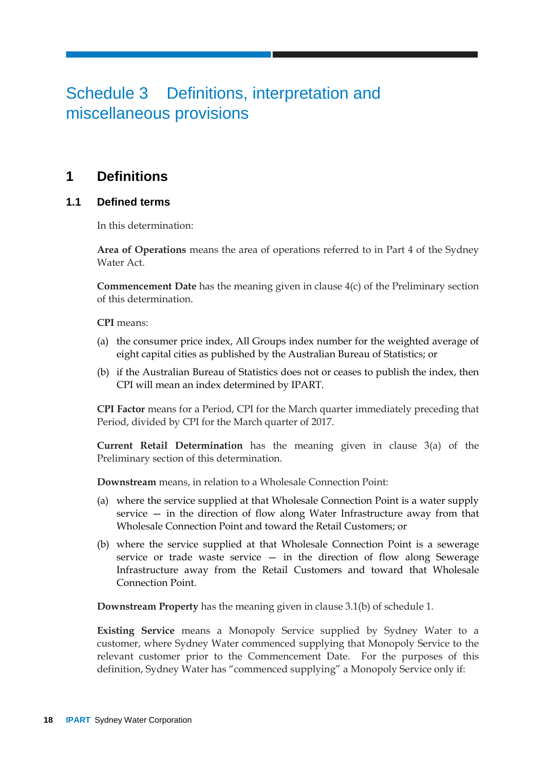# <span id="page-17-0"></span>Schedule 3 Definitions, interpretation and miscellaneous provisions

# <span id="page-17-1"></span>**1 Definitions**

## **1.1 Defined terms**

In this determination:

**Area of Operations** means the area of operations referred to in Part 4 of the Sydney Water Act.

**Commencement Date** has the meaning given in clause [4\(c\)](#page-5-2) of the Preliminary section of this determination.

**CPI** means:

- (a) the consumer price index, All Groups index number for the weighted average of eight capital cities as published by the Australian Bureau of Statistics; or
- (b) if the Australian Bureau of Statistics does not or ceases to publish the index, then CPI will mean an index determined by IPART.

**CPI Factor** means for a Period, CPI for the March quarter immediately preceding that Period, divided by CPI for the March quarter of 2017.

**Current Retail Determination** has the meaning given in clause [3\(a\)](#page-5-3) of the Preliminary section of this determination.

**Downstream** means, in relation to a Wholesale Connection Point:

- (a) where the service supplied at that Wholesale Connection Point is a water supply service — in the direction of flow along Water Infrastructure away from that Wholesale Connection Point and toward the Retail Customers; or
- (b) where the service supplied at that Wholesale Connection Point is a sewerage service or trade waste service  $-$  in the direction of flow along Sewerage Infrastructure away from the Retail Customers and toward that Wholesale Connection Point.

**Downstream Property** has the meaning given in clause 3.1(b) of schedule 1.

**Existing Service** means a Monopoly Service supplied by Sydney Water to a customer, where Sydney Water commenced supplying that Monopoly Service to the relevant customer prior to the Commencement Date. For the purposes of this definition, Sydney Water has "commenced supplying" a Monopoly Service only if: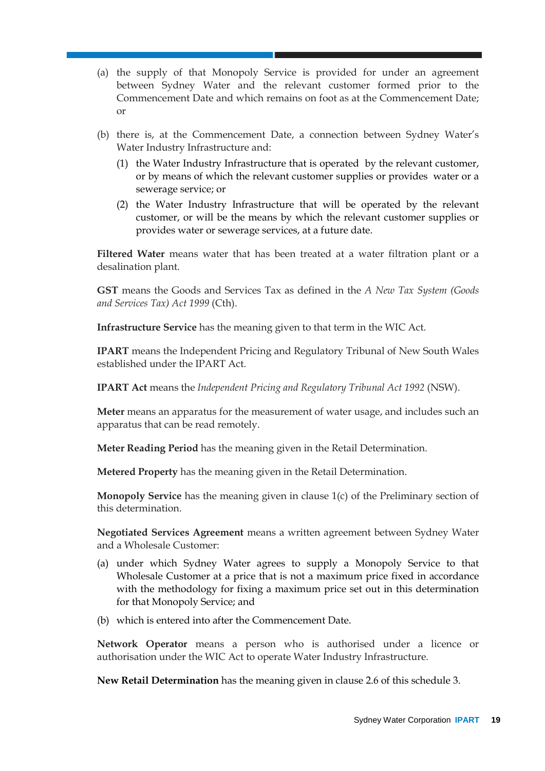- (a) the supply of that Monopoly Service is provided for under an agreement between Sydney Water and the relevant customer formed prior to the Commencement Date and which remains on foot as at the Commencement Date; or
- (b) there is, at the Commencement Date, a connection between Sydney Water's Water Industry Infrastructure and:
	- (1) the Water Industry Infrastructure that is operated by the relevant customer, or by means of which the relevant customer supplies or provides water or a sewerage service; or
	- (2) the Water Industry Infrastructure that will be operated by the relevant customer, or will be the means by which the relevant customer supplies or provides water or sewerage services, at a future date.

**Filtered Water** means water that has been treated at a water filtration plant or a desalination plant.

**GST** means the Goods and Services Tax as defined in the *A New Tax System (Goods and Services Tax) Act 1999* (Cth).

**Infrastructure Service** has the meaning given to that term in the WIC Act.

**IPART** means the Independent Pricing and Regulatory Tribunal of New South Wales established under the IPART Act.

**IPART Act** means the *Independent Pricing and Regulatory Tribunal Act 1992* (NSW).

**Meter** means an apparatus for the measurement of water usage, and includes such an apparatus that can be read remotely.

**Meter Reading Period** has the meaning given in the Retail Determination.

**Metered Property** has the meaning given in the Retail Determination.

**Monopoly Service** has the meaning given in clause [1\(c\)](#page-4-3) of the Preliminary section of this determination.

**Negotiated Services Agreement** means a written agreement between Sydney Water and a Wholesale Customer:

- (a) under which Sydney Water agrees to supply a Monopoly Service to that Wholesale Customer at a price that is not a maximum price fixed in accordance with the methodology for fixing a maximum price set out in this determination for that Monopoly Service; and
- (b) which is entered into after the Commencement Date.

**Network Operator** means a person who is authorised under a licence or authorisation under the WIC Act to operate Water Industry Infrastructure.

**New Retail Determination** has the meaning given in clause 2.6 of this schedule 3.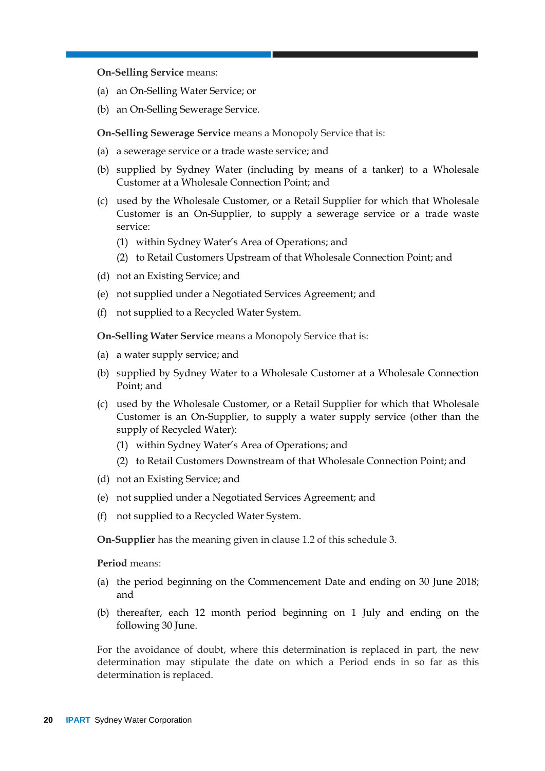**On-Selling Service** means:

- (a) an On-Selling Water Service; or
- (b) an On-Selling Sewerage Service.

**On-Selling Sewerage Service** means a Monopoly Service that is:

- (a) a sewerage service or a trade waste service; and
- (b) supplied by Sydney Water (including by means of a tanker) to a Wholesale Customer at a Wholesale Connection Point; and
- (c) used by the Wholesale Customer, or a Retail Supplier for which that Wholesale Customer is an On-Supplier, to supply a sewerage service or a trade waste service:
	- (1) within Sydney Water's Area of Operations; and
	- (2) to Retail Customers Upstream of that Wholesale Connection Point; and
- (d) not an Existing Service; and
- (e) not supplied under a Negotiated Services Agreement; and
- (f) not supplied to a Recycled Water System.

**On-Selling Water Service** means a Monopoly Service that is:

- (a) a water supply service; and
- (b) supplied by Sydney Water to a Wholesale Customer at a Wholesale Connection Point; and
- (c) used by the Wholesale Customer, or a Retail Supplier for which that Wholesale Customer is an On-Supplier, to supply a water supply service (other than the supply of Recycled Water):
	- (1) within Sydney Water's Area of Operations; and
	- (2) to Retail Customers Downstream of that Wholesale Connection Point; and
- (d) not an Existing Service; and
- (e) not supplied under a Negotiated Services Agreement; and
- (f) not supplied to a Recycled Water System.

**On-Supplier** has the meaning given in clause 1.2 of this schedule 3.

**Period** means:

- (a) the period beginning on the Commencement Date and ending on 30 June 2018; and
- (b) thereafter, each 12 month period beginning on 1 July and ending on the following 30 June.

For the avoidance of doubt, where this determination is replaced in part, the new determination may stipulate the date on which a Period ends in so far as this determination is replaced.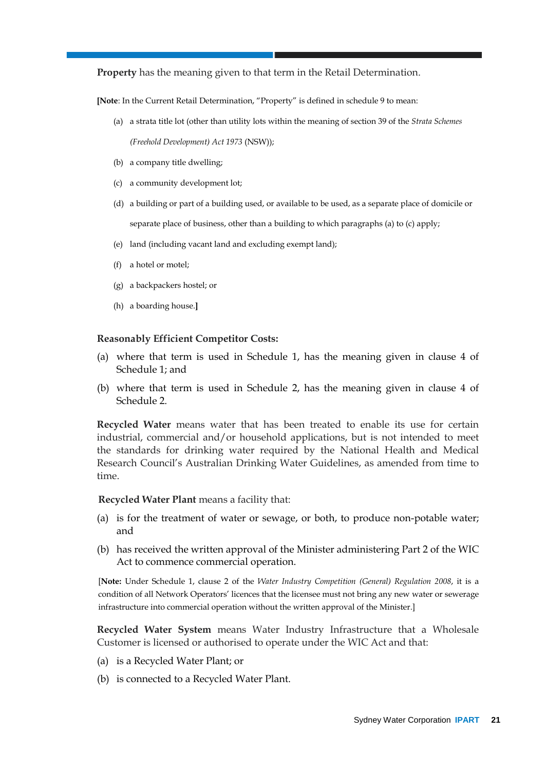#### **Property** has the meaning given to that term in the Retail Determination.

**[Note**: In the Current Retail Determination, "Property" is defined in schedule 9 to mean:

- (a) a strata title lot (other than utility lots within the meaning of section 39 of the *Strata Schemes (Freehold Development) Act 1973* (NSW));
- (b) a company title dwelling;
- (c) a community development lot;
- (d) a building or part of a building used, or available to be used, as a separate place of domicile or separate place of business, other than a building to which paragraphs (a) to (c) apply;
- (e) land (including vacant land and excluding exempt land);
- (f) a hotel or motel;
- (g) a backpackers hostel; or
- (h) a boarding house.**]**

#### **Reasonably Efficient Competitor Costs:**

- (a) where that term is used in Schedule 1, has the meaning given in clause 4 of Schedule 1; and
- (b) where that term is used in Schedule 2, has the meaning given in clause 4 of Schedule 2.

**Recycled Water** means water that has been treated to enable its use for certain industrial, commercial and/or household applications, but is not intended to meet the standards for drinking water required by the National Health and Medical Research Council's Australian Drinking Water Guidelines, as amended from time to time.

**Recycled Water Plant** means a facility that:

- (a) is for the treatment of water or sewage, or both, to produce non-potable water; and
- (b) has received the written approval of the Minister administering Part 2 of the WIC Act to commence commercial operation.

[**Note:** Under Schedule 1, clause 2 of the *Water Industry Competition (General) Regulation 2008*, it is a condition of all Network Operators' licences that the licensee must not bring any new water or sewerage infrastructure into commercial operation without the written approval of the Minister.]

**Recycled Water System** means Water Industry Infrastructure that a Wholesale Customer is licensed or authorised to operate under the WIC Act and that:

- (a) is a Recycled Water Plant; or
- (b) is connected to a Recycled Water Plant.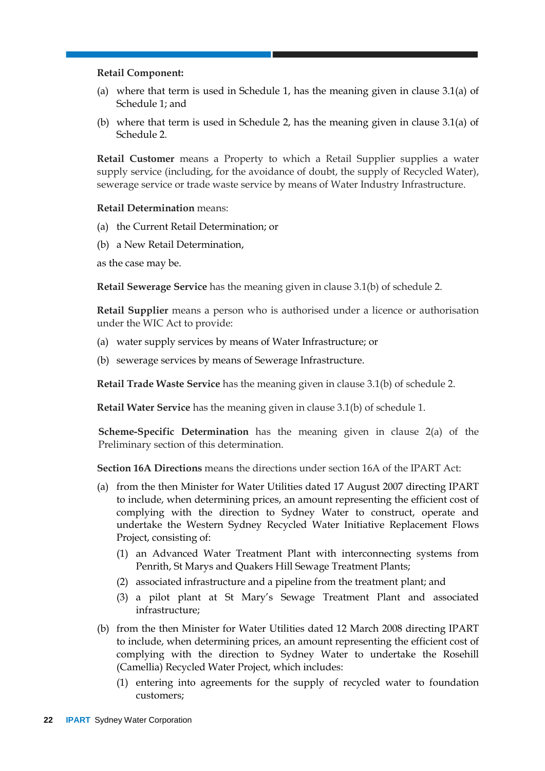#### **Retail Component:**

- (a) where that term is used in Schedule 1, has the meaning given in clause 3.1(a) of Schedule 1; and
- (b) where that term is used in Schedule 2, has the meaning given in clause 3.1(a) of Schedule 2.

**Retail Customer** means a Property to which a Retail Supplier supplies a water supply service (including, for the avoidance of doubt, the supply of Recycled Water), sewerage service or trade waste service by means of Water Industry Infrastructure.

#### **Retail Determination** means:

- (a) the Current Retail Determination; or
- (b) a New Retail Determination,

as the case may be.

**Retail Sewerage Service** has the meaning given in clause [3.1\(](#page-12-1)b) of schedule 2.

**Retail Supplier** means a person who is authorised under a licence or authorisation under the WIC Act to provide:

- (a) water supply services by means of Water Infrastructure; or
- (b) sewerage services by means of Sewerage Infrastructure.

**Retail Trade Waste Service** has the meaning given in clause [3.1\(](#page-8-1)b) of schedule 2.

**Retail Water Service** has the meaning given in clause [3.1\(](#page-8-1)b) of schedule 1.

**Scheme-Specific Determination** has the meaning given in clause [2\(a\)](#page-4-4) of the Preliminary section of this determination.

**Section 16A Directions** means the directions under section 16A of the IPART Act:

- (a) from the then Minister for Water Utilities dated 17 August 2007 directing IPART to include, when determining prices, an amount representing the efficient cost of complying with the direction to Sydney Water to construct, operate and undertake the Western Sydney Recycled Water Initiative Replacement Flows Project, consisting of:
	- (1) an Advanced Water Treatment Plant with interconnecting systems from Penrith, St Marys and Quakers Hill Sewage Treatment Plants;
	- (2) associated infrastructure and a pipeline from the treatment plant; and
	- (3) a pilot plant at St Mary's Sewage Treatment Plant and associated infrastructure;
- (b) from the then Minister for Water Utilities dated 12 March 2008 directing IPART to include, when determining prices, an amount representing the efficient cost of complying with the direction to Sydney Water to undertake the Rosehill (Camellia) Recycled Water Project, which includes:
	- (1) entering into agreements for the supply of recycled water to foundation customers;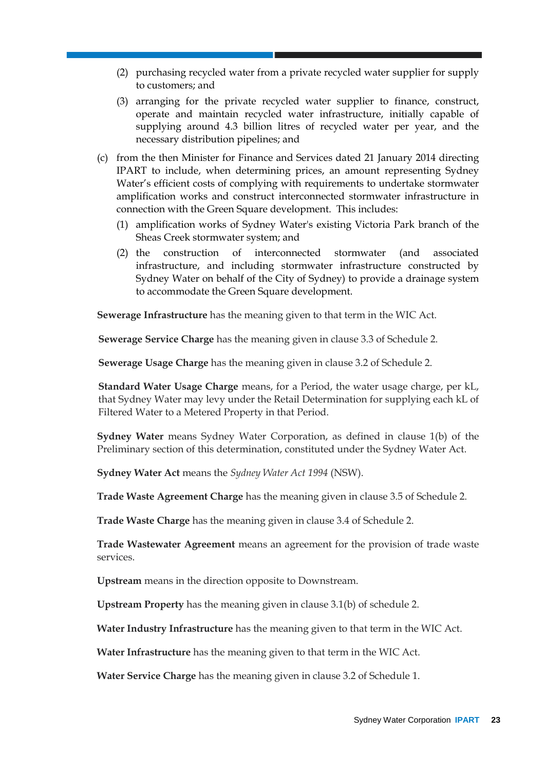- (2) purchasing recycled water from a private recycled water supplier for supply to customers; and
- (3) arranging for the private recycled water supplier to finance, construct, operate and maintain recycled water infrastructure, initially capable of supplying around 4.3 billion litres of recycled water per year, and the necessary distribution pipelines; and
- (c) from the then Minister for Finance and Services dated 21 January 2014 directing IPART to include, when determining prices, an amount representing Sydney Water's efficient costs of complying with requirements to undertake stormwater amplification works and construct interconnected stormwater infrastructure in connection with the Green Square development. This includes:
	- (1) amplification works of Sydney Water's existing Victoria Park branch of the Sheas Creek stormwater system; and
	- (2) the construction of interconnected stormwater (and associated infrastructure, and including stormwater infrastructure constructed by Sydney Water on behalf of the City of Sydney) to provide a drainage system to accommodate the Green Square development.

**Sewerage Infrastructure** has the meaning given to that term in the WIC Act.

**Sewerage Service Charge** has the meaning given in clause 3.3 of Schedule 2.

**Sewerage Usage Charge** has the meaning given in clause 3.2 of Schedule 2.

**Standard Water Usage Charge** means, for a Period, the water usage charge, per kL, that Sydney Water may levy under the Retail Determination for supplying each kL of Filtered Water to a Metered Property in that Period.

**Sydney Water** means Sydney Water Corporation, as defined in clause [1\(b\)](#page-4-5) of the Preliminary section of this determination, constituted under the Sydney Water Act.

**Sydney Water Act** means the *Sydney Water Act 1994* (NSW).

**Trade Waste Agreement Charge** has the meaning given in clause 3.5 of Schedule 2.

**Trade Waste Charge** has the meaning given in clause 3.4 of Schedule 2.

**Trade Wastewater Agreement** means an agreement for the provision of trade waste services.

**Upstream** means in the direction opposite to Downstream.

**Upstream Property** has the meaning given in clause 3.1(b) of schedule 2.

**Water Industry Infrastructure** has the meaning given to that term in the WIC Act.

**Water Infrastructure** has the meaning given to that term in the WIC Act.

**Water Service Charge** has the meaning given in clause 3.2 of Schedule 1.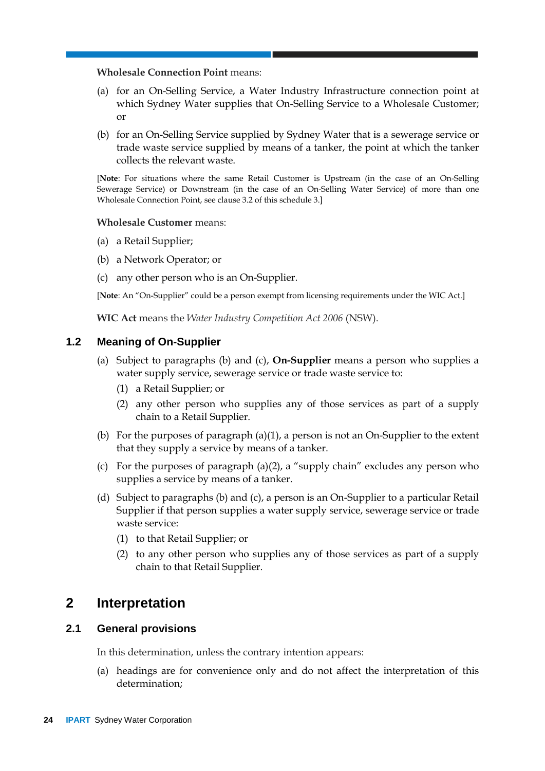#### **Wholesale Connection Point** means:

- (a) for an On-Selling Service, a Water Industry Infrastructure connection point at which Sydney Water supplies that On-Selling Service to a Wholesale Customer; or
- (b) for an On-Selling Service supplied by Sydney Water that is a sewerage service or trade waste service supplied by means of a tanker, the point at which the tanker collects the relevant waste.

[**Note**: For situations where the same Retail Customer is Upstream (in the case of an On-Selling Sewerage Service) or Downstream (in the case of an On-Selling Water Service) of more than one Wholesale Connection Point, see clause [3.2](#page-25-1) of this schedule 3.]

#### **Wholesale Customer** means:

- (a) a Retail Supplier;
- (b) a Network Operator; or
- (c) any other person who is an On-Supplier.

[**Note**: An "On-Supplier" could be a person exempt from licensing requirements under the WIC Act.]

**WIC Act** means the *Water Industry Competition Act 2006* (NSW).

#### **1.2 Meaning of On-Supplier**

- (a) Subject to paragraphs (b) and (c), **On-Supplier** means a person who supplies a water supply service, sewerage service or trade waste service to:
	- (1) a Retail Supplier; or
	- (2) any other person who supplies any of those services as part of a supply chain to a Retail Supplier.
- (b) For the purposes of paragraph (a)(1), a person is not an On-Supplier to the extent that they supply a service by means of a tanker.
- (c) For the purposes of paragraph (a)(2), a "supply chain" excludes any person who supplies a service by means of a tanker.
- (d) Subject to paragraphs (b) and (c), a person is an On-Supplier to a particular Retail Supplier if that person supplies a water supply service, sewerage service or trade waste service:
	- (1) to that Retail Supplier; or
	- (2) to any other person who supplies any of those services as part of a supply chain to that Retail Supplier.

## <span id="page-23-0"></span>**2 Interpretation**

#### **2.1 General provisions**

In this determination, unless the contrary intention appears:

(a) headings are for convenience only and do not affect the interpretation of this determination;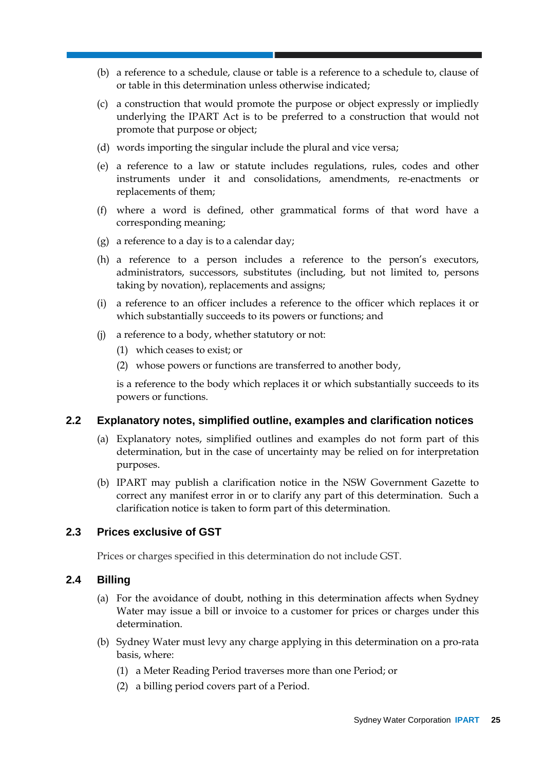- (b) a reference to a schedule, clause or table is a reference to a schedule to, clause of or table in this determination unless otherwise indicated;
- (c) a construction that would promote the purpose or object expressly or impliedly underlying the IPART Act is to be preferred to a construction that would not promote that purpose or object;
- (d) words importing the singular include the plural and vice versa;
- (e) a reference to a law or statute includes regulations, rules, codes and other instruments under it and consolidations, amendments, re-enactments or replacements of them;
- (f) where a word is defined, other grammatical forms of that word have a corresponding meaning;
- (g) a reference to a day is to a calendar day;
- (h) a reference to a person includes a reference to the person's executors, administrators, successors, substitutes (including, but not limited to, persons taking by novation), replacements and assigns;
- (i) a reference to an officer includes a reference to the officer which replaces it or which substantially succeeds to its powers or functions; and
- (j) a reference to a body, whether statutory or not:
	- (1) which ceases to exist; or
	- (2) whose powers or functions are transferred to another body,

is a reference to the body which replaces it or which substantially succeeds to its powers or functions.

#### **2.2 Explanatory notes, simplified outline, examples and clarification notices**

- (a) Explanatory notes, simplified outlines and examples do not form part of this determination, but in the case of uncertainty may be relied on for interpretation purposes.
- (b) IPART may publish a clarification notice in the NSW Government Gazette to correct any manifest error in or to clarify any part of this determination. Such a clarification notice is taken to form part of this determination.

#### **2.3 Prices exclusive of GST**

Prices or charges specified in this determination do not include GST.

#### **2.4 Billing**

- (a) For the avoidance of doubt, nothing in this determination affects when Sydney Water may issue a bill or invoice to a customer for prices or charges under this determination.
- (b) Sydney Water must levy any charge applying in this determination on a pro-rata basis, where:
	- (1) a Meter Reading Period traverses more than one Period; or
	- (2) a billing period covers part of a Period.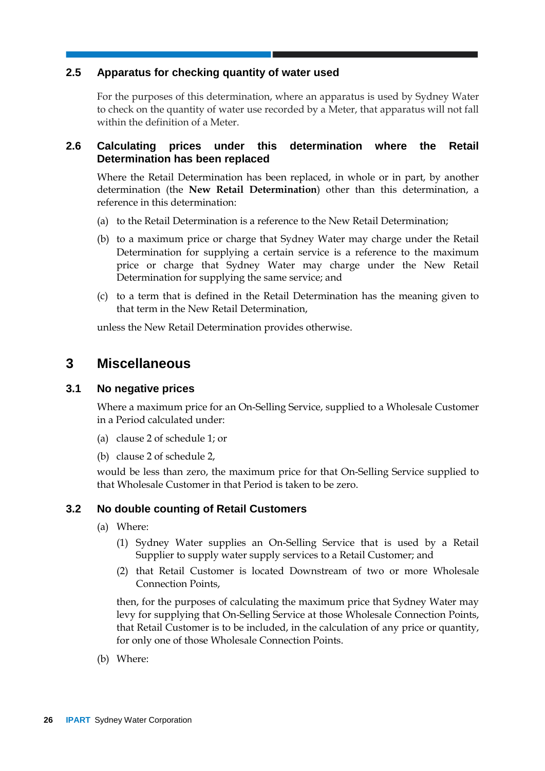### **2.5 Apparatus for checking quantity of water used**

For the purposes of this determination, where an apparatus is used by Sydney Water to check on the quantity of water use recorded by a Meter, that apparatus will not fall within the definition of a Meter.

## **2.6 Calculating prices under this determination where the Retail Determination has been replaced**

Where the Retail Determination has been replaced, in whole or in part, by another determination (the **New Retail Determination**) other than this determination, a reference in this determination:

- (a) to the Retail Determination is a reference to the New Retail Determination;
- (b) to a maximum price or charge that Sydney Water may charge under the Retail Determination for supplying a certain service is a reference to the maximum price or charge that Sydney Water may charge under the New Retail Determination for supplying the same service; and
- (c) to a term that is defined in the Retail Determination has the meaning given to that term in the New Retail Determination,

unless the New Retail Determination provides otherwise.

## <span id="page-25-0"></span>**3 Miscellaneous**

### **3.1 No negative prices**

Where a maximum price for an On-Selling Service, supplied to a Wholesale Customer in a Period calculated under:

- (a) clause [2](#page-7-2) of schedule 1; or
- (b) clause [2](#page-11-2) of schedule 2,

would be less than zero, the maximum price for that On-Selling Service supplied to that Wholesale Customer in that Period is taken to be zero.

### <span id="page-25-1"></span>**3.2 No double counting of Retail Customers**

- (a) Where:
	- (1) Sydney Water supplies an On-Selling Service that is used by a Retail Supplier to supply water supply services to a Retail Customer; and
	- (2) that Retail Customer is located Downstream of two or more Wholesale Connection Points,

then, for the purposes of calculating the maximum price that Sydney Water may levy for supplying that On-Selling Service at those Wholesale Connection Points, that Retail Customer is to be included, in the calculation of any price or quantity, for only one of those Wholesale Connection Points.

(b) Where: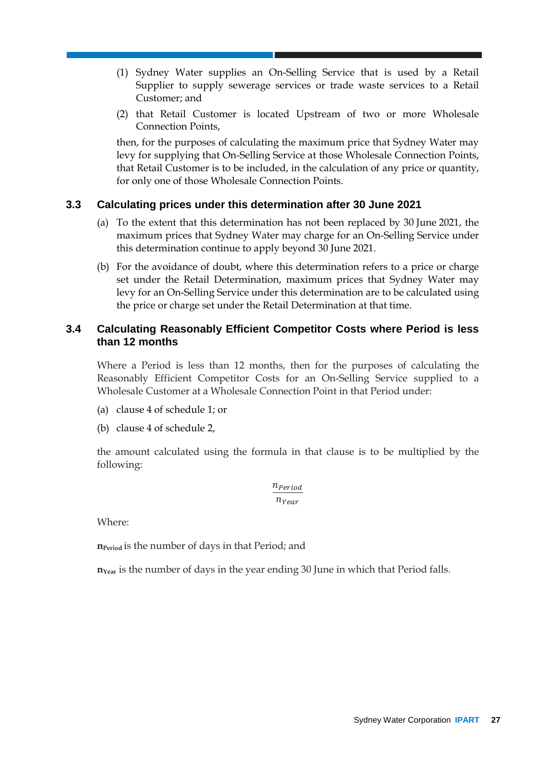- (1) Sydney Water supplies an On-Selling Service that is used by a Retail Supplier to supply sewerage services or trade waste services to a Retail Customer; and
- (2) that Retail Customer is located Upstream of two or more Wholesale Connection Points,

then, for the purposes of calculating the maximum price that Sydney Water may levy for supplying that On-Selling Service at those Wholesale Connection Points, that Retail Customer is to be included, in the calculation of any price or quantity, for only one of those Wholesale Connection Points.

#### **3.3 Calculating prices under this determination after 30 June 2021**

- (a) To the extent that this determination has not been replaced by 30 June 2021, the maximum prices that Sydney Water may charge for an On-Selling Service under this determination continue to apply beyond 30 June 2021.
- (b) For the avoidance of doubt, where this determination refers to a price or charge set under the Retail Determination, maximum prices that Sydney Water may levy for an On-Selling Service under this determination are to be calculated using the price or charge set under the Retail Determination at that time.

### **3.4 Calculating Reasonably Efficient Competitor Costs where Period is less than 12 months**

Where a Period is less than 12 months, then for the purposes of calculating the Reasonably Efficient Competitor Costs for an On-Selling Service supplied to a Wholesale Customer at a Wholesale Connection Point in that Period under:

- (a) clause [4](#page-9-0) of schedule 1; or
- (b) clause 4 of schedule 2,

the amount calculated using the formula in that clause is to be multiplied by the following:

### $n_{Period}$  $n_{Year}$

Where:

**n**<sub>Period</sub> is the number of days in that Period; and

**n**<sub>Year</sub> is the number of days in the year ending 30 June in which that Period falls.